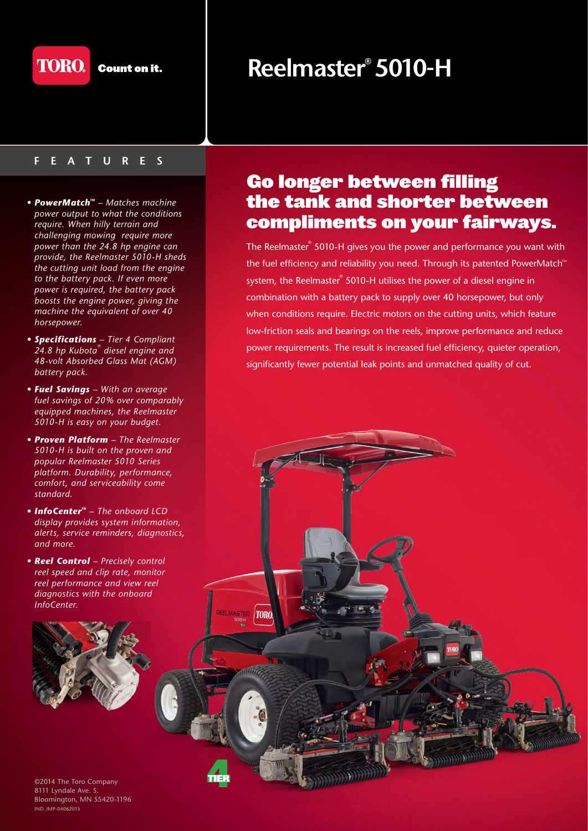

## **FEATURES**

- **PowerMatch<sup>***M***</sup> Matches machine** *power output to what the conditions require. When hilly terrain and challenging mowing require more power than the 24.8 hp engine can provide, the Reelmaster 5010-H sheds the cutting unit load from the engine to the battery pack. If even more power is required, the battery pack boosts the engine power, giving the machine the equivalent of over 40 horsepower.*
- *Specifications Tier 4 Compliant 24.8 hp Kubota® diesel engine and 48-volt Absorbed Glass Mat (AGM) battery pack.*
- *Fuel Savings With an average fuel savings of 20% over comparably equipped machines, the Reelmaster 5010-H is easy on your budget.*
- *Proven Platform The Reelmaster 5010-H is built on the proven and popular Reelmaster 5010 Series platform. Durability, performance, comfort, and serviceability come standard.*
- *InfoCenter<sup>M</sup>* The onboard LCD *display provides system information, alerts, service reminders, diagnostics, and more.*
- *Reel Control Precisely control reel speed and clip rate, monitor reel performance and view reel diagnostics with the onboard InfoCenter.*

**FIMASTED** 

 $|TORO$ 



©2014 The Toro Company 8111 Lyndale Ave. S. Bloomington, MN 55420-1196 IND\_IMP-04062015

## **Reelmaster® 5010-H**

## Go longer between filling the tank and shorter between compliments on your fairways.

The Reelmaster® 5010-H gives you the power and performance you want with the fuel efficiency and reliability you need. Through its patented PowerMatch<sup>®</sup> system, the Reelmaster<sup>®</sup> 5010-H utilises the power of a diesel engine in combination with a battery pack to supply over 40 horsepower, but only when conditions require. Electric motors on the cutting units, which feature low-friction seals and bearings on the reels, improve performance and reduce power requirements. The result is increased fuel efficiency, quieter operation, significantly fewer potential leak points and unmatched quality of cut.